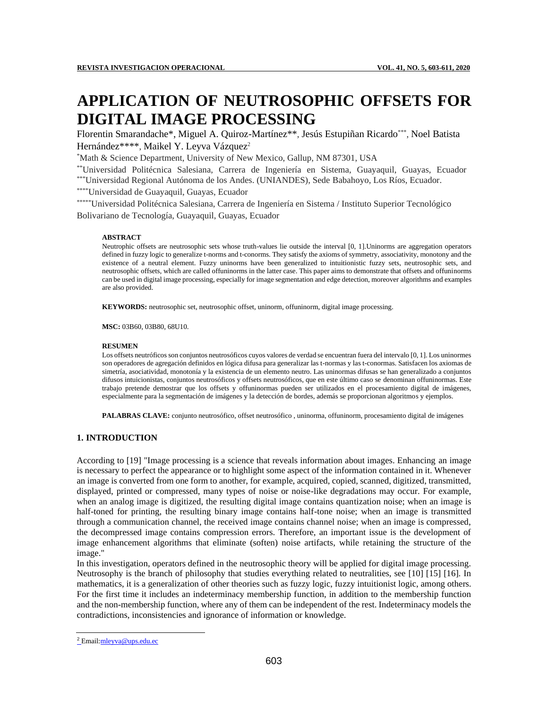# **APPLICATION OF NEUTROSOPHIC OFFSETS FOR DIGITAL IMAGE PROCESSING**

Florentin Smarandache\*, Miguel A. Quiroz-Martínez\*\*, Jesús Estupiñan Ricardo\*\*\*, Noel Batista Hernández\*\*\*\*, Maikel Y. Leyva Vázquez<sup>2</sup>

\*Math & Science Department, University of New Mexico, Gallup, NM 87301, USA

\*\*Universidad Politécnica Salesiana, Carrera de Ingeniería en Sistema, Guayaquil, Guayas, Ecuador \*\*\*Universidad Regional Autónoma de los Andes. (UNIANDES), Sede Babahoyo, Los Ríos, Ecuador.

\*\*\*\*Universidad de Guayaquil, Guayas, Ecuador

\*\*\*\*\*Universidad Politécnica Salesiana, Carrera de Ingeniería en Sistema / Instituto Superior Tecnológico Bolivariano de Tecnología, Guayaquil, Guayas, Ecuador

#### **ABSTRACT**

Neutrophic offsets are neutrosophic sets whose truth-values lie outside the interval [0, 1].Uninorms are aggregation operators defined in fuzzy logic to generalize t-norms and t-conorms. They satisfy the axioms of symmetry, associativity, monotony and the existence of a neutral element. Fuzzy uninorms have been generalized to intuitionistic fuzzy sets, neutrosophic sets, and neutrosophic offsets, which are called offuninorms in the latter case. This paper aims to demonstrate that offsets and offuninorms can be used in digital image processing, especially for image segmentation and edge detection, moreover algorithms and examples are also provided.

**KEYWORDS:** neutrosophic set, neutrosophic offset, uninorm, offuninorm, digital image processing.

**MSC:** 03B60, 03B80, 68U10.

#### **RESUMEN**

Los offsets neutróficos son conjuntos neutrosóficos cuyos valores de verdad se encuentran fuera del intervalo [0, 1]. Los uninormes son operadores de agregación definidos en lógica difusa para generalizar las t-normas y las t-conormas. Satisfacen los axiomas de simetría, asociatividad, monotonía y la existencia de un elemento neutro. Las uninormas difusas se han generalizado a conjuntos difusos intuicionistas, conjuntos neutrosóficos y offsets neutrosóficos, que en este último caso se denominan offuninormas. Este trabajo pretende demostrar que los offsets y offuninormas pueden ser utilizados en el procesamiento digital de imágenes, especialmente para la segmentación de imágenes y la detección de bordes, además se proporcionan algoritmos y ejemplos.

**PALABRAS CLAVE:** conjunto neutrosófico, offset neutrosófico , uninorma, offuninorm, procesamiento digital de imágenes

## **1. INTRODUCTION**

According to [19] "Image processing is a science that reveals information about images. Enhancing an image is necessary to perfect the appearance or to highlight some aspect of the information contained in it. Whenever an image is converted from one form to another, for example, acquired, copied, scanned, digitized, transmitted, displayed, printed or compressed, many types of noise or noise-like degradations may occur. For example, when an analog image is digitized, the resulting digital image contains quantization noise; when an image is half-toned for printing, the resulting binary image contains half-tone noise; when an image is transmitted through a communication channel, the received image contains channel noise; when an image is compressed, the decompressed image contains compression errors. Therefore, an important issue is the development of image enhancement algorithms that eliminate (soften) noise artifacts, while retaining the structure of the image."

In this investigation, operators defined in the neutrosophic theory will be applied for digital image processing. Neutrosophy is the branch of philosophy that studies everything related to neutralities, see [10] [15] [16]. In mathematics, it is a generalization of other theories such as fuzzy logic, fuzzy intuitionist logic, among others. For the first time it includes an indeterminacy membership function, in addition to the membership function and the non-membership function, where any of them can be independent of the rest. Indeterminacy models the contradictions, inconsistencies and ignorance of information or knowledge.

<sup>2</sup> Email:mleyva@ups.edu.ec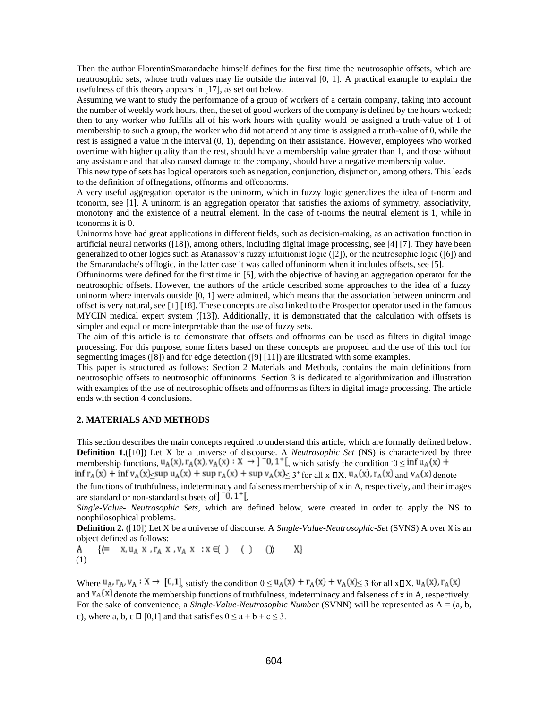Then the author FlorentinSmarandache himself defines for the first time the neutrosophic offsets, which are neutrosophic sets, whose truth values may lie outside the interval [0, 1]. A practical example to explain the usefulness of this theory appears in [17], as set out below.

Assuming we want to study the performance of a group of workers of a certain company, taking into account the number of weekly work hours, then, the set of good workers of the company is defined by the hours worked; then to any worker who fulfills all of his work hours with quality would be assigned a truth-value of 1 of membership to such a group, the worker who did not attend at any time is assigned a truth-value of 0, while the rest is assigned a value in the interval (0, 1), depending on their assistance. However, employees who worked overtime with higher quality than the rest, should have a membership value greater than 1, and those without any assistance and that also caused damage to the company, should have a negative membership value.

This new type of sets has logical operators such as negation, conjunction, disjunction, among others. This leads to the definition of offnegations, offnorms and offconorms.

A very useful aggregation operator is the uninorm, which in fuzzy logic generalizes the idea of t-norm and tconorm, see [1]. A uninorm is an aggregation operator that satisfies the axioms of symmetry, associativity, monotony and the existence of a neutral element. In the case of t-norms the neutral element is 1, while in tconorms it is 0.

Uninorms have had great applications in different fields, such as decision-making, as an activation function in artificial neural networks ([18]), among others, including digital image processing, see [4] [7]. They have been generalized to other logics such as Atanassov's fuzzy intuitionist logic ([2]), or the neutrosophic logic ([6]) and the Smarandache's offlogic, in the latter case it was called offuninorm when it includes offsets, see [5].

Offuninorms were defined for the first time in [5], with the objective of having an aggregation operator for the neutrosophic offsets. However, the authors of the article described some approaches to the idea of a fuzzy uninorm where intervals outside [0, 1] were admitted, which means that the association between uninorm and offset is very natural, see [1] [18]. These concepts are also linked to the Prospector operator used in the famous MYCIN medical expert system ([13]). Additionally, it is demonstrated that the calculation with offsets is simpler and equal or more interpretable than the use of fuzzy sets.

The aim of this article is to demonstrate that offsets and offnorms can be used as filters in digital image processing. For this purpose, some filters based on these concepts are proposed and the use of this tool for segmenting images ([8]) and for edge detection ([9] [11]) are illustrated with some examples.

This paper is structured as follows: Section 2 Materials and Methods, contains the main definitions from neutrosophic offsets to neutrosophic offuninorms. Section 3 is dedicated to algorithmization and illustration with examples of the use of neutrosophic offsets and offnorms as filters in digital image processing. The article ends with section 4 conclusions.

### **2. MATERIALS AND METHODS**

This section describes the main concepts required to understand this article, which are formally defined below. **Definition 1.**([10]) Let X be a universe of discourse. A *Neutrosophic Set* (NS) is characterized by three membership functions,  $u_A(x)$ ,  $r_A(x)$ ,  $v_A(x)$ :  $X \rightarrow 0$ ,  $T_0$ ,  $T_1$ , which satisfy the condition  $0 \leq$ inf  $r_A(x)$  + inf  $v_A(x)$  sup  $u_A(x)$  + sup  $r_A(x)$  + sup  $v_A(x)$  s  $3$  for all  $x \Box X$ ,  $u_A(x)$ ,  $r_A(x)$  and  $v_A(x)$  denote

the functions of truthfulness, indeterminacy and falseness membership of x in A, respectively, and their images are standard or non-standard subsets of  $\begin{bmatrix} -0, 1 \\ -1, 1 \end{bmatrix}$ .

*Single-Value- Neutrosophic Sets*, which are defined below, were created in order to apply the NS to nonphilosophical problems.

**Definition 2.** ([10]) Let X be a universe of discourse. A *Single-Value-Neutrosophic-Set* (SVNS) A over X is an object defined as follows:<br>A  $\{\Leftarrow x, u_A x, r_A x, v_A x : x \in (\ )$  () ())

Α X} (1)

Where  $u_A$ ,  $r_A$ ,  $v_A: X \to [0,1]$ , satisfy the condition  $0 \le u_A(x) + r_A(x) + v_A(x) \le 3$  for all  $x \Box X$ .  $u_A(x)$ ,  $r_A(x)$ and  $V_A(x)$  denote the membership functions of truthfulness, indeterminacy and falseness of x in A, respectively. For the sake of convenience, a *Single-Value-Neutrosophic Number* (SVNN) will be represented as A = (a, b, c), where a, b, c  $\Box$  [0,1] and that satisfies  $0 \le a + b + c \le 3$ .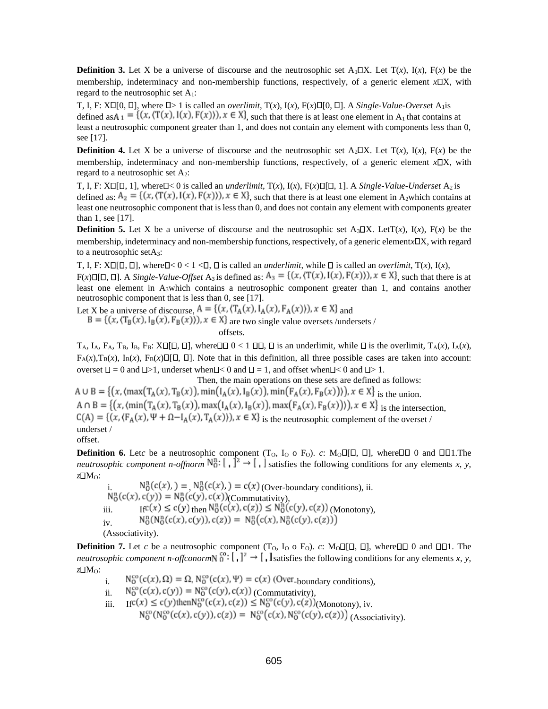**Definition 3.** Let X be a universe of discourse and the neutrosophic set  $A_1 \square X$ . Let  $T(x)$ ,  $T(x)$ ,  $F(x)$  be the membership, indeterminacy and non-membership functions, respectively, of a generic element *x*DX, with regard to the neutrosophic set  $A_1$ :

T, I, F:  $X\square[0, \square]$ , where  $\square > 1$  is called an *overlimit*,  $T(x)$ ,  $I(x)$ ,  $F(x)\square[0, \square]$ . A *Single-Value-Overset* A<sub>1</sub> is defined as  $A_1 = \{(x, (T(x), I(x), F(x))), x \in X\}$ , such that there is at least one element in  $A_1$  that contains at least a neutrosophic component greater than 1, and does not contain any element with components less than 0, see [17].

**Definition 4.** Let X be a universe of discourse and the neutrosophic set  $A_2\Box X$ . Let  $T(x)$ ,  $I(x)$ ,  $F(x)$  be the membership, indeterminacy and non-membership functions, respectively, of a generic element *x*DX, with regard to a neutrosophic set  $A_2$ :

T, I, F:  $X \Box [\Box, 1]$ , where  $\Box < 0$  is called an *underlimit*,  $T(x)$ ,  $I(x)$ ,  $F(x) \Box [\Box, 1]$ . A *Single-Value-Underset*  $A_2$  is defined as:  $A_2 = \{(x, (T(x), I(x), F(x))), x \in X\}$  such that there is at least one element in A<sub>2</sub>which contains at least one neutrosophic component that is less than 0, and does not contain any element with components greater than 1, see [17].

**Definition 5.** Let X be a universe of discourse and the neutrosophic set A<sub>3</sub> $\Box X$ . LetT(*x*), I(*x*), F(*x*) be the membership, indeterminacy and non-membership functions, respectively, of a generic elementx  $\Box X$ , with regard to a neutrosophic setA3:

T, I, F: X $\Box$ [ $\Box$ , where  $\Box$  <  $0 < 1 < \Box$ ,  $\Box$  is called an *underlimit*, while  $\Box$  is called an *overlimit*,  $\Box(x)$ ,  $\Box(x)$ ,

 $F(x)\Box[\Box]$ , A *Single-Value-Offset* A<sub>3</sub> is defined as:  $A_3 = \{(x, (T(x), I(x), F(x))), x \in X\}$ , such that there is at least one element in  $A_3$ which contains a neutrosophic component greater than 1, and contains another neutrosophic component that is less than 0, see [17].

Let X be a universe of discourse,  $A = \{(x, (T_A(x), I_A(x), F_A(x))), x \in X\}$  and  $B = \{(x, (T_B(x), I_B(x), F_B(x))), x \in X\}$  are two single value oversets /undersets / offsets.

 $T_A$ ,  $I_A$ ,  $F_A$ ,  $T_B$ ,  $I_B$ ,  $F_B$ :  $X \Box [\Box, \Box]$ , where  $\Box \Box \odot < 1 \Box \Box$ ,  $\Box$  is an underlimit, while  $\Box$  is the overlimit,  $T_A(x)$ ,  $I_A(x)$ ,  $F_A(x), T_B(x), F_B(x), F_B(x)$ [[], []. Note that in this definition, all three possible cases are taken into account: overset  $\Box = 0$  and  $\Box > 1$ , underset when  $\Box < 0$  and  $\Box = 1$ , and offset when  $\Box < 0$  and  $\Box > 1$ .

Then, the main operations on these sets are defined as follows:  $A \cup B = \{(x, \langle max(T_A(x), T_B(x)), min(T_A(x), I_B(x)), min(F_A(x), F_B(x))\rangle), x \in X\}$  is the union.  $A \cap B = \{(x, (\min(T_A(x), T_B(x)), \max(T_A(x), I_B(x)), \max(F_A(x), F_B(x))\}), x \in X\}$  is the intersection,  $C(A) = \{(x, (F_A(x), \Psi + \Omega - I_A(x), T_A(x))), x \in X\}$  is the neutrosophic complement of the overset / underset / offset.

**Definition 6.** Letc be a neutrosophic component (T<sub>O</sub>, I<sub>O</sub> o F<sub>O</sub>). *c*: M<sub>O</sub> $\Box$ [ $\Box$ ,  $\Box$ ], where  $\Box$  $\Box$  0 and  $\Box$  $\Box$ 1. The *neutrosophic component n-offnorm*  $N_0^n$ :  $\left[ \begin{array}{c} \end{array} \right]^2 \rightarrow \left[ \begin{array}{c} \end{array} \right]$  satisfies the following conditions for any elements *x*, *y*, *z* MO:

 $N_0^n(c(x)) = N_0^n(c(x)) = c(x)$  (Over-boundary conditions), ii.  $N_0^n(c(x), c(y)) = N_0^n(c(y), c(x))$ (Commutativity), iii. If  $f(c(x) \le c(y)$  then  $N_0^n(c(x), c(z)) \le N_0^n(c(y), c(z))$  (Monotony).  $N_0^n(N_0^n(c(x), c(y)), c(z)) = N_0^n(c(x), N_0^n(c(y), c(z)))$ iv. (Associativity).

**Definition 7.** Let *c* be a neutrosophic component (T<sub>O</sub>, I<sub>O</sub> o F<sub>O</sub>). *c*: M<sub>O</sub> $\Box$ [ $\Box$ ], where  $\Box$  $\Box$  0 and  $\Box$  $\Box$ 1. The *neutrosophic component n-offconorm*  $\delta$ <sup>6</sup>:  $\lceil \cdot \rceil^2 \rightarrow \lceil \cdot \rceil$  atisfies the following conditions for any elements *x*, *y*, *z* MO:

- i.  $N_0^{co}(c(x), \Omega) = \Omega$ ,  $N_0^{co}(c(x), \Psi) = c(x)$  (Over-boundary conditions),
- ii.  $N_0^{co}(c(x), c(y)) = N_0^{co}(c(y), c(x))$  (Commutativity),
- iii. If  $\text{If } C(x) \leq c(y)$  then  $N_0^{co}(c(x), c(z)) \leq N_0^{co}(c(y), c(z))$  (Monotony), iv.

 $N_0^{co}(N_0^{co}(c(x), c(y)), c(z)) = N_0^{co}(c(x), N_0^{co}(c(y), c(z)))$  (Associativity).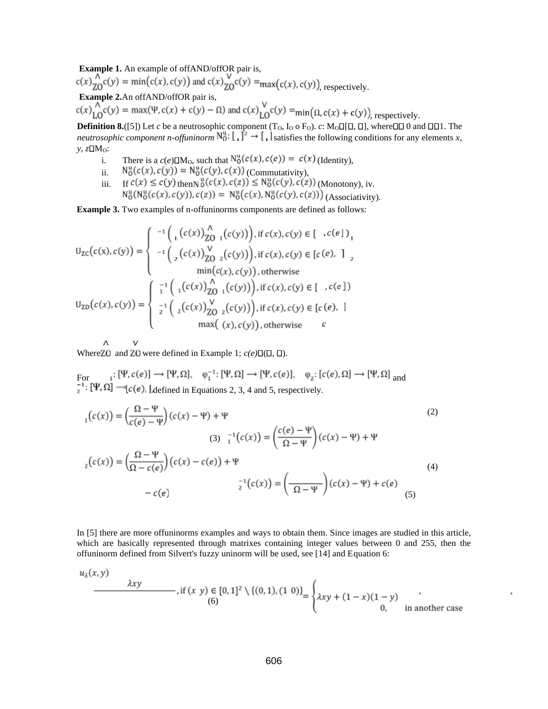**Example 1.** An example of offAND/offOR pair is,

 $c(x)$ <sub>70</sub> $c(y)$  = min(c(x), c(y)) and c(x)<sub>70</sub> $c(y)$  = max(c(x), c(y))<sub>,</sub> respectively.

**Example 2.**An offAND/offOR pair is,

 $c(x)$ <sub>LO</sub> $c(y)$  = max( $\Psi$ ,  $c(x) + c(y) - \Omega$ ) and  $c(x)$ <sub>LO</sub> $c(y)$  = min( $\Omega$ ,  $c(x) + c(y)$ )<sub>, respectively.</sub>

**Definition 8.**([5]) Let *c* be a neutrosophic component (T<sub>O</sub>, I<sub>O</sub> o F<sub>O</sub>). *c*: M<sub>O</sub> $\Box$ [ $\Box$ ], where  $\Box$  $\Box$  $\Box$  and  $\Box$  $\Box$  The *neutrosophic component n-offuninorm*  $\mathbb{N}_0^*$ :  $\downarrow$   $\downarrow^2 \rightarrow \downarrow$  . Isatisfies the following conditions for any elements *x*,  $y, zDM<sub>O</sub>$ :

- i. There is a  $c(e)\Box M_0$ , such that  $N_0^u(c(x), c(e)) = c(x)$  (Identity),
- ii.  $N_0^{\alpha}(c(x), c(y)) = N_0^{\alpha}(c(y), c(x))$  (Commutativity),
- iii. If  $c(x) \leq c(y)$  then  $\delta(c(x), c(z)) \leq N_0^{\alpha}(c(y), c(z))$  (Monotony), iv. (Associativity).

**Example 3.** Two examples of n-offuninorms components are defined as follows:

$$
U_{ZC}(c(x), c(y)) = \begin{cases}\n-1 \left( \frac{1}{2} (c(x)) \frac{1}{20} (c(y)) \right), \text{ if } c(x), c(y) \in [c(c|)] \\
-1 \left( \frac{1}{2} (c(x)) \frac{1}{20} (c(y)) \right), \text{ if } c(x), c(y) \in [c(e), ]\n\end{cases}
$$
\n
$$
U_{ZD}(c(x), c(y)) = \begin{cases}\n-1 \left( \frac{1}{2} (c(x)) \frac{1}{20} (c(y)) \right), \text{ if } c(x), c(y) \in [c(e), ]\n\end{cases}
$$
\n
$$
U_{ZD}(c(x), c(y)) = \begin{cases}\n-1 \left( \frac{1}{2} (c(x)) \frac{1}{20} (c(y)) \right), \text{ if } c(x), c(y) \in [c(e), ]\n\end{cases}
$$
\n
$$
U_{ZD}(c(x), c(y)) = \begin{cases}\n-1 \left( \frac{1}{2} (c(x)) \frac{1}{20} (c(y)) \right), \text{ if } c(x), c(y) \in [c(e), ]\n\end{cases}
$$
\n
$$
U_{ZD}(c(x), c(y)) = \begin{cases}\n-1 \left( \frac{1}{2} (c(x)) \frac{1}{20} (c(y)) \right), \text{ if } c(x), c(y) \in [c(e), ]\n\end{cases}
$$

Λ v Where ZO and ZO were defined in Example 1;  $c(e) \Box (\Box, \Box)$ .

 $\overline{a}$ 

 $F_{\text{or}}$   $i: [\Upsilon, c(e)] \rightarrow [\Upsilon, \Sigma], \quad \varphi_1 : [\Upsilon, \Sigma] \rightarrow [\Upsilon, c(e)], \quad \varphi_2 : [c(e), \Sigma] \rightarrow [\Upsilon, \Sigma]$  and defined in Equations 2, 3, 4 and 5, respectively.

$$
{}_{1}(c(x)) = \left(\frac{\Omega - \Psi}{c(e) - \Psi}\right)(c(x) - \Psi) + \Psi
$$
\n
$$
(3) \quad {}_{1}^{-1}(c(x)) = \left(\frac{c(e) - \Psi}{\Omega - \Psi}\right)(c(x) - \Psi) + \Psi
$$
\n
$$
{}_{2}(c(x)) = \left(\frac{\Omega - \Psi}{\Omega - c(e)}\right)(c(x) - c(e)) + \Psi
$$
\n
$$
{}_{-}^{-1}(c(x)) = \left(\frac{\Omega - \Psi}{\Omega - \Psi}\right)(c(x) - \Psi) + c(e)
$$
\n
$$
-c(e) \tag{5}
$$

In [5] there are more offuninorms examples and ways to obtain them. Since images are studied in this article, which are basically represented through matrixes containing integer values between 0 and 255, then the offuninorm defined from Silvert's fuzzy uninorm will be used, see [14] and Equation 6:

$$
u_{\lambda}(x, y)
$$
  
\n
$$
2xy
$$
\n
$$
u_{\lambda}(x, y) = [0, 1]^2 \setminus \{(0, 1), (1, 0)\} = \begin{cases} \lambda xy + (1 - x)(1 - y) & (0, 0) \\ 0, & \text{in another case} \end{cases}
$$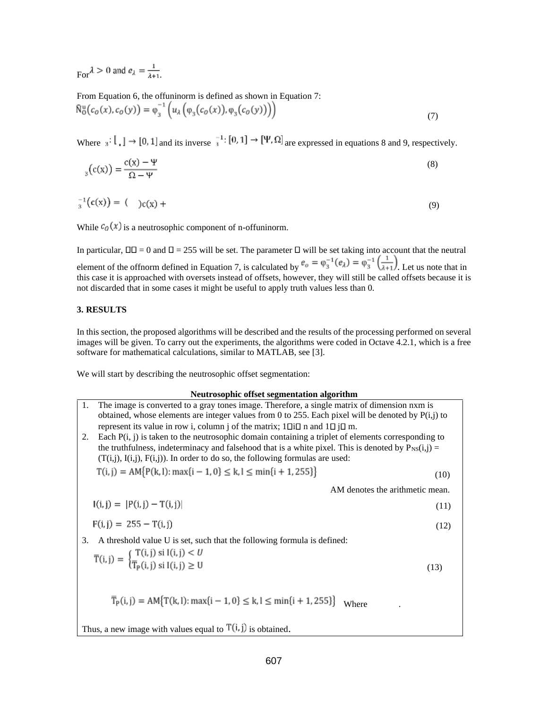$F_{\text{cor}}\lambda > 0$  and  $e_{\lambda} = \frac{1}{\lambda + 1}$ 

From Equation 6, the offuninorm is defined as shown in Equation 7:

$$
\widehat{N}_0^{\mathrm{u}}(c_0(x), c_0(y)) = \varphi_3^{-1}\left(u_{\lambda}\left(\varphi_3(c_0(x)), \varphi_3(c_0(y))\right)\right) \tag{7}
$$

Where  $a: \begin{bmatrix} 1 \end{bmatrix} \rightarrow [0, 1]$  and its inverse  $a^{-1}: [0, 1] \rightarrow [\Psi, \Omega]$  are expressed in equations 8 and 9, respectively.

$$
E_{3}(c(x)) = \frac{c(x) - \Psi}{\Omega - \Psi} \tag{8}
$$

$$
x_3^{-1}(c(x)) = (x_3 + c(x_2)) + (y_3 + c(x_3))
$$

While  $c_0(x)$  is a neutrosophic component of n-offuninorm.

In particular,  $\Box \Box = 0$  and  $\Box = 255$  will be set. The parameter  $\Box$  will be set taking into account that the neutral element of the offnorm defined in Equation 7, is calculated by  $e_o = \varphi_3^{-1}(e_\lambda) = \varphi_3^{-1}(\frac{1}{\lambda+1})$ . Let us note that in this case it is approached with oversets instead of offsets, however, they will still be called offsets because it is not discarded that in some cases it might be useful to apply truth values less than 0.

## **3. RESULTS**

In this section, the proposed algorithms will be described and the results of the processing performed on several images will be given. To carry out the experiments, the algorithms were coded in Octave 4.2.1, which is a free software for mathematical calculations, similar to MATLAB, see [3].

We will start by describing the neutrosophic offset segmentation:

### **Neutrosophic offset segmentation algorithm**

1. The image is converted to a gray tones image. Therefore, a single matrix of dimension nxm is obtained, whose elements are integer values from 0 to 255. Each pixel will be denoted by  $P(i,j)$  to represent its value in row i, column j of the matrix;  $1 \Box i \Box$  n and  $1 \Box j \Box$  m.

2. Each  $P(i, j)$  is taken to the neutrosophic domain containing a triplet of elements corresponding to the truthfulness, indeterminacy and falsehood that is a white pixel. This is denoted by  $P_{NS}(i,j)$  =  $(T(i,j), I(i,j), F(i,j))$ . In order to do so, the following formulas are used:  $T(3) = AM[0/(100, m) + 10]$  /  $\frac{1}{2}$  min $(3 + 1.255)$ 

$$
\Gamma(1, j) = AM\{P(k, 1): \max\{i - 1, 0\} \le k, 1 \le \min\{i + 1, 255\}\}\tag{10}
$$

AM denotes the arithmetic mean.

$$
I(i,j) = |P(i,j) - T(i,j)| \tag{11}
$$

$$
F(i,j) = 255 - T(i,j) \tag{12}
$$

3. A threshold value U is set, such that the following formula is defined:

$$
\overline{\Gamma}(i,j) = \begin{cases} \overline{\Gamma}(i,j) \text{ si } I(i,j) < U \\ \overline{\Gamma}_{P}(i,j) \text{ si } I(i,j) \ge U \end{cases} \tag{13}
$$

$$
\overline{T}_{P}(i,j) = AM\{T(k,l): \max\{i-1, 0\} \le k, l \le \min\{i+1, 255\}\}
$$
 Where

Thus, a new image with values equal to  $T(i, j)$  is obtained.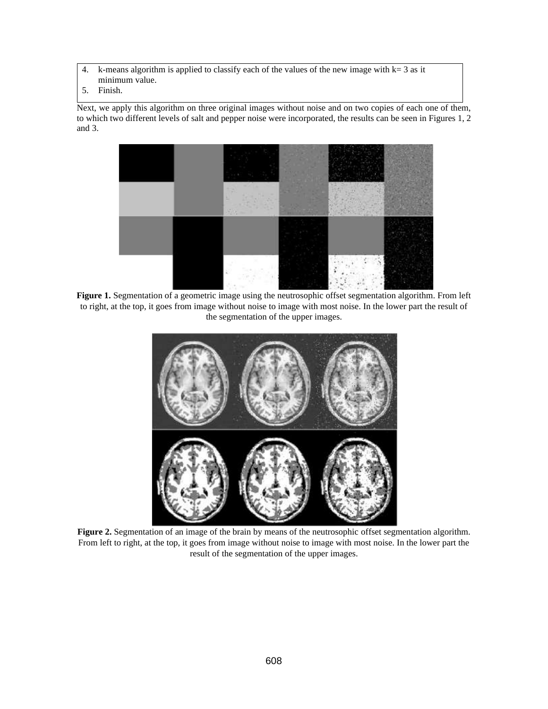- 4. k-means algorithm is applied to classify each of the values of the new image with  $k=3$  as it minimum value.
- 5. Finish.

Next, we apply this algorithm on three original images without noise and on two copies of each one of them, to which two different levels of salt and pepper noise were incorporated, the results can be seen in Figures 1, 2 and 3.



**Figure 1.** Segmentation of a geometric image using the neutrosophic offset segmentation algorithm. From left to right, at the top, it goes from image without noise to image with most noise. In the lower part the result of the segmentation of the upper images.



Figure 2. Segmentation of an image of the brain by means of the neutrosophic offset segmentation algorithm. From left to right, at the top, it goes from image without noise to image with most noise. In the lower part the result of the segmentation of the upper images.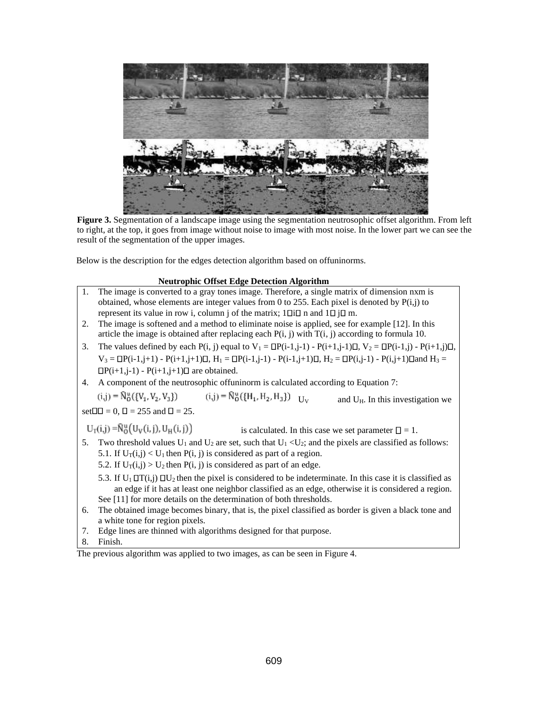

**Figure 3.** Segmentation of a landscape image using the segmentation neutrosophic offset algorithm. From left to right, at the top, it goes from image without noise to image with most noise. In the lower part we can see the result of the segmentation of the upper images.

Below is the description for the edges detection algorithm based on offuninorms.

## **Neutrophic Offset Edge Detection Algorithm**



8. Finish.

The previous algorithm was applied to two images, as can be seen in Figure 4.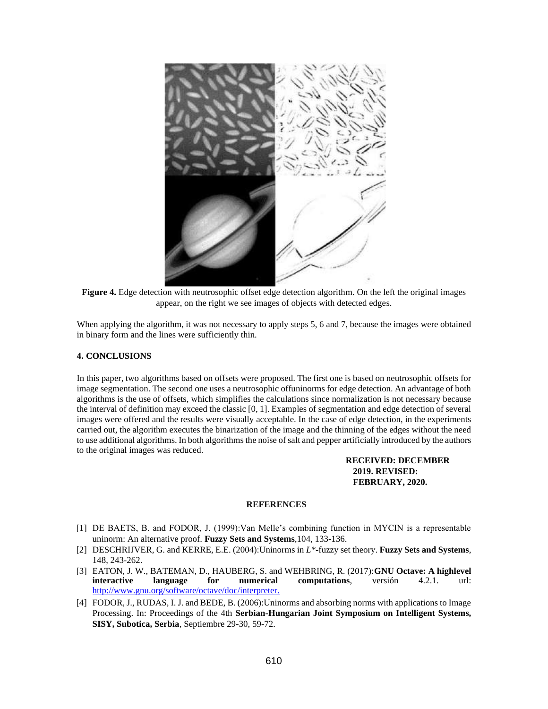

**Figure 4.** Edge detection with neutrosophic offset edge detection algorithm. On the left the original images appear, on the right we see images of objects with detected edges.

When applying the algorithm, it was not necessary to apply steps 5, 6 and 7, because the images were obtained in binary form and the lines were sufficiently thin.

## **4. CONCLUSIONS**

In this paper, two algorithms based on offsets were proposed. The first one is based on neutrosophic offsets for image segmentation. The second one uses a neutrosophic offuninorms for edge detection. An advantage of both algorithms is the use of offsets, which simplifies the calculations since normalization is not necessary because the interval of definition may exceed the classic [0, 1]. Examples of segmentation and edge detection of several images were offered and the results were visually acceptable. In the case of edge detection, in the experiments carried out, the algorithm executes the binarization of the image and the thinning of the edges without the need to use additional algorithms. In both algorithms the noise of salt and pepper artificially introduced by the authors to the original images was reduced.

## **RECEIVED: DECEMBER 2019. REVISED: FEBRUARY, 2020.**

## **REFERENCES**

- [1] DE BAETS, B. and FODOR, J. (1999):Van Melle's combining function in MYCIN is a representable uninorm: An alternative proof. **Fuzzy Sets and Systems**,104, 133-136.
- [2] DESCHRIJVER, G. and KERRE, E.E. (2004):Uninorms in *L\**-fuzzy set theory. **Fuzzy Sets and Systems**, 148, 243-262.
- [3] EATON, J. W., BATEMAN, D., HAUBERG, S. and WEHBRING, R. (2017):**GNU Octave: A highlevel interactive language for numerical computations**, versión 4.2.1. url: [http://www.gnu.org/software/octave/doc/interpreter.](http://www.gnu.org/software/octave/doc/interpreter)
- [4] FODOR, J., RUDAS, I. J. and BEDE, B. (2006):Uninorms and absorbing norms with applications to Image Processing. In: Proceedings of the 4th **Serbian-Hungarian Joint Symposium on Intelligent Systems, SISY, Subotica, Serbia**, Septiembre 29-30, 59-72.